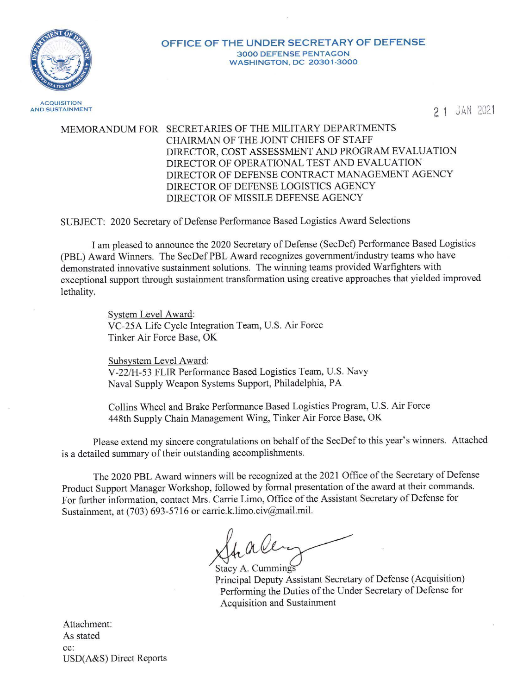

#### **OFFICE OF THE UNDER SECRET ARY OF DEFENSE**  3000 DEFENSE PENTAGON WASHINGTON, DC 20301-3000

**ACQUISITION** AND SUSTAINMENT

2 1 JAM 2021

# MEMORANDUM FOR SECRETARIES OF THE MILITARY DEPARTMENTS CHAIRMAN OF THE JOINT CHIEFS OF STAFF DIRECTOR, COST ASSESSMENT AND PROGRAM EVALUATION DIRECTOR OF OPERATIONAL TEST AND EVALUATION DIRECTOR OF DEFENSE CONTRACT MANAGEMENT AGENCY DIRECTOR OF DEFENSE LOGISTICS AGENCY DIRECTOR OF MISSILE DEFENSE AGENCY

SUBJECT: 2020 Secretary of Defense Performance Based Logistics Award Selections

I am pleased to announce the 2020 Secretary of Defense (SecDef) Performance Based Logistics (PBL) Award Winners. The SecDef PBL Award recognizes government/industry teams who have demonstrated innovative sustainment solutions. The winning teams provided Warfighters with exceptional support through sustainment transformation using creative approaches that yielded improved lethality.

> System Level Award: VC-25A Life Cycle Integration Team, U.S. Air Force Tinker Air Force Base, OK

Subsystem Level Award: V-22/H-53 FLIR Performance Based Logistics Team, U.S. Navy Naval Supply Weapon Systems Support, Philadelphia, PA

Collins Wheel and Brake Performance Based Logistics Program, U.S. Air Force 448th Supply Chain Management Wing, Tinker Air Force Base, OK

Please extend my sincere congratulations on behalf of the SecDef to this year's winners. Attached is a detailed summary of their outstanding accomplishments.

The 2020 PBL Award winners will be recognized at the 2021 Office of the Secretary of Defense Product Support Manager Workshop, followed by formal presentation of the award at their commands. For further information, contact Mrs. Carrie Limo, Office of the Assistant Secretary of Defense for Sustainment, at (703) 693-5716 or carrie.k.limo.civ@mail.mil.

, alen

Stacy A. Cummings Principal Deputy Assistant Secretary of Defense (Acquisition) Performing the Duties of the Under Secretary of Defense for Acquisition and Sustainment

Attachment: As stated cc: USD(A&S) Direct Reports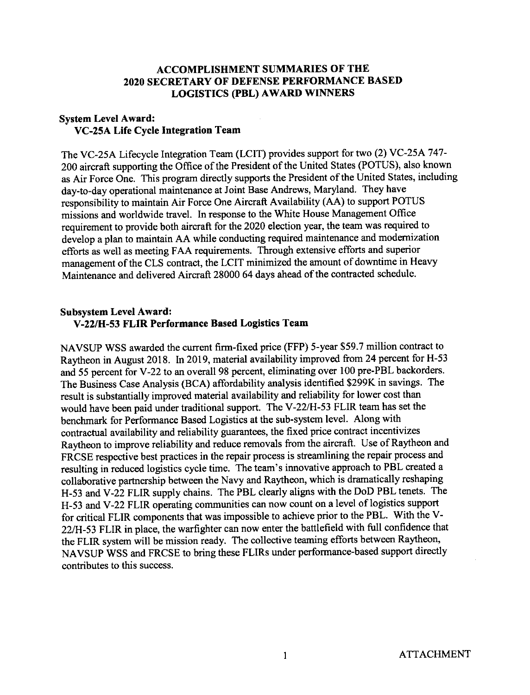### **ACCOMPLISHMENT SUMMARIES OF THE 2020 SECRET ARY OF DEFENSE PERFORMANCE BASED LOGISTICS (PBL) AWARD WINNERS**

## **System Level Award: VC-25A Life Cycle Integration Team**

The VC-25A Lifecycle Integration Team (LCIT) provides support for two (2) VC-25A 747- 200 aircraft supporting the Office of the President of the United States (POTUS), also known as Air Force One. This program directly supports the President of the United States, including day-to-day operational maintenance at Joint Base Andrews, Maryland. They have responsibility to maintain Air Force One Aircraft Availability (AA) to support POTUS missions and worldwide travel. In response to the White House Management Office requirement to provide both aircraft for the 2020 election year, the team was required to develop a plan to maintain AA while conducting required maintenance and modernization efforts as well as meeting FAA requirements. Through extensive efforts and superior management of the CLS contract, the LCIT minimized the amount of downtime in Heavy Maintenance and delivered Aircraft 28000 64 days ahead of the contracted schedule.

#### **Subsystem Level Award: V-22/H-53 FLIR Performance Based Logistics Team**

NAVSUP WSS awarded the current firm-fixed price (FFP) 5-year \$59.7 million contract to Raytheon in August 2018. In 2019, material availability improved from 24 percent for H-53 and 55 percent for V-22 to an overall 98 percent, eliminating over 100 pre-PBL backorders. The Business Case Analysis (BCA) affordability analysis identified \$299K in savings. The result is substantially improved material availability and reliability for lower cost than would have been paid under traditional support. The V-22/H-53 FLIR team has set the benchmark for Performance Based Logistics at the sub-system level. Along with contractual availability and reliability guarantees, the fixed price contract incentivizes Raytheon to improve reliability and reduce removals from the aircraft. Use of Raytheon and FRCSE respective best practices in the repair process is streamlining the repair process and resulting in reduced logistics cycle time. The team's innovative approach to PBL created a collaborative partnership between the Navy and Raytheon, which is dramatically reshaping H-53 and V-22 FLIR supply chains. The PBL clearly aligns with the DoD PBL tenets. The H-53 and V-22 FLIR operating communities can now count on a level of logistics support for critical FLIR components that was impossible to achieve prior to the PBL. With the V-22/H-53 FLIR in place, the warfighter can now enter the battlefield with full confidence that the FLIR system will be mission ready. The collective teaming efforts between Raytheon, NA VSUP WSS and FRCSE to bring these FLIRs under performance-based support directly contributes to this success.